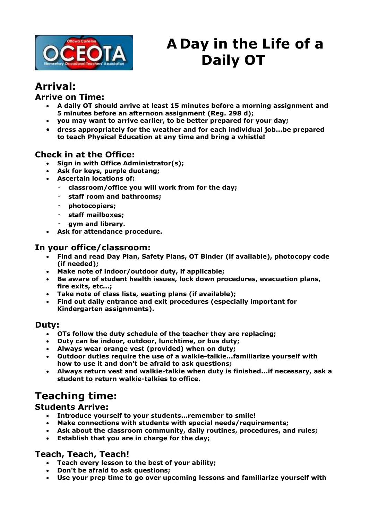

# **A Day in the Life of a Daily OT**

### **Arrival:**

#### **Arrive on Time:**

- **A daily OT should arrive at least 15 minutes before a morning assignment and 5 minutes before an afternoon assignment (Reg. 298 d);**
- **you may want to arrive earlier, to be better prepared for your day;**
- **dress appropriately for the weather and for each individual job...be prepared to teach Physical Education at any time and bring a whistle!**

#### **Check in at the Office:**

- **Sign in with Office Administrator(s);**
- **Ask for keys, purple duotang;**
- **Ascertain locations of:**
	- **classroom/office you will work from for the day;**
	- **staff room and bathrooms;**
	- **photocopiers;**
	- **staff mailboxes;**
	- **gym and library.**
- **Ask for attendance procedure.**

#### **In your office/classroom:**

- **Find and read Day Plan, Safety Plans, OT Binder (if available), photocopy code (if needed);**
- **Make note of indoor/outdoor duty, if applicable;**
- **Be aware of student health issues, lock down procedures, evacuation plans, fire exits, etc...;**
- **Take note of class lists, seating plans (if available);**
- **Find out daily entrance and exit procedures (especially important for Kindergarten assignments).**

#### **Duty:**

- **OTs follow the duty schedule of the teacher they are replacing;**
- **Duty can be indoor, outdoor, lunchtime, or bus duty;**
- **Always wear orange vest (provided) when on duty;**
- **Outdoor duties require the use of a walkie-talkie...familiarize yourself with how to use it and don't be afraid to ask questions;**
- **Always return vest and walkie-talkie when duty is finished...if necessary, ask a student to return walkie-talkies to office.**

## **Teaching time:**

#### **Students Arrive:**

- **Introduce yourself to your students...remember to smile!**
- **Make connections with students with special needs/requirements;**
- **Ask about the classroom community, daily routines, procedures, and rules;**
- **Establish that you are in charge for the day;**

#### **Teach, Teach, Teach!**

- **Teach every lesson to the best of your ability;**
- **Don't be afraid to ask questions;**
- **Use your prep time to go over upcoming lessons and familiarize yourself with**